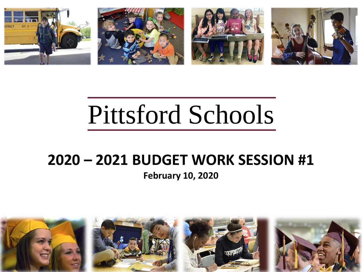

# Pittsford Schools

#### **2020 – 2021 BUDGET WORK SESSION #1 February 10, 2020**

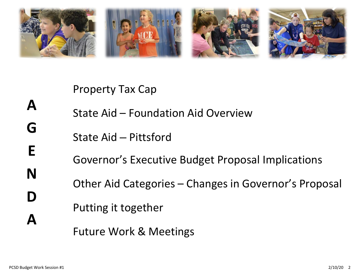

Property Tax Cap

- State Aid Foundation Aid Overview
	- State Aid Pittsford
- Governor's Executive Budget Proposal Implications
	- Other Aid Categories Changes in Governor's Proposal
		- Putting it together
			- Future Work & Meetings

**A**

**G**

**E**

**N**

**D**

**A**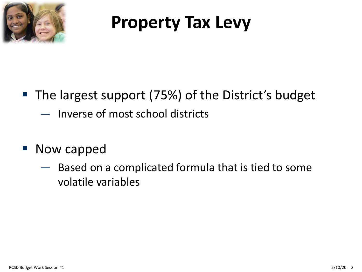

#### **Property Tax Levy**

- The largest support (75%) of the District's budget
	- Inverse of most school districts
- Now capped
	- Based on a complicated formula that is tied to some volatile variables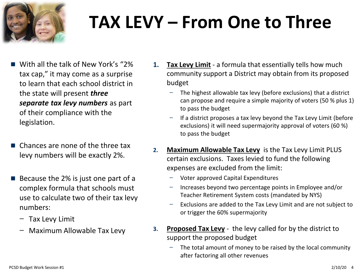

## **TAX LEVY – From One to Three**

- With all the talk of New York's "2% tax cap," it may come as a surprise to learn that each school district in the state will present *three separate tax levy numbers* as part of their compliance with the legislation.
- Chances are none of the three tax levy numbers will be exactly 2%.
- $\blacksquare$  Because the 2% is just one part of a complex formula that schools must use to calculate two of their tax levy numbers:
	- ̶ Tax Levy Limit
	- ̶ Maximum Allowable Tax Levy
- **1. Tax Levy Limit** a formula that essentially tells how much community support a District may obtain from its proposed budget
	- ̶ The highest allowable tax levy (before exclusions) that a district can propose and require a simple majority of voters (50 % plus 1) to pass the budget
	- ̶ If a district proposes a tax levy beyond the Tax Levy Limit (before exclusions) it will need supermajority approval of voters (60 %) to pass the budget
- **2. Maximum Allowable Tax Levy** is the Tax Levy Limit PLUS certain exclusions. Taxes levied to fund the following expenses are excluded from the limit:
	- ̶ Voter approved Capital Expenditures
	- ̶ Increases beyond two percentage points in Employee and/or Teacher Retirement System costs (mandated by NYS)
	- ̶ Exclusions are added to the Tax Levy Limit and are not subject to or trigger the 60% supermajority
- **3. Proposed Tax Levy** the levy called for by the district to support the proposed budget
	- The total amount of money to be raised by the local community after factoring all other revenues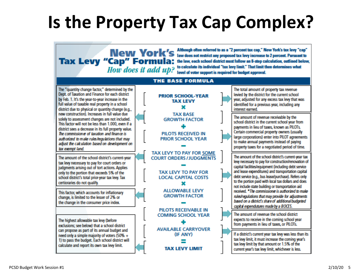#### **Is the Property Tax Cap Complex?**

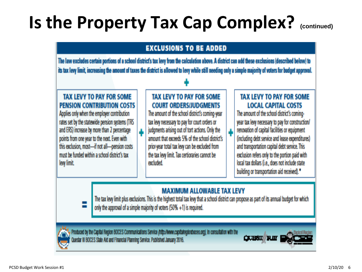#### **Is the Property Tax Cap Complex? (continued)**

#### **EXCLUSIONS TO BE ADDED**

The law excludes certain portions of a school district's tax levy from the calculation above. A district can add these exclusions (described below) to its tax levy limit, increasing the amount of taxes the district is allowed to levy while still needing only a simple majority of voters for budget approval.

#### TAX LEVY TO PAY FOR SOME **PENSION CONTRIBUTION COSTS**

Applies only when the employer contribution rates set by the statewide pension systems (TRS and ERS) increase by more than 2 percentage points from one year to the next. Even with this exclusion, most-if not all-pension costs must be funded within a school district's tax. lew limit.

 $\overline{\phantom{a}}$ 

#### **TAX LEVY TO PAY FOR SOME COURT ORDERS/JUDGMENTS**

The amount of the school district's coming-year tax levy necessary to pay for court orders or judgments arising out of tort actions. Only the amount that exceeds 5% of the school district's prior-year total tax levy can be excluded from the tax levy limit. Tax certioraries cannot be **excluded** 

#### **TAX LEVY TO PAY FOR SOME LOCAL CAPITAL COSTS**

The amount of the school district's comingyear tax levy necessary to pay for construction/ renovation of capital facilities or equipment (including debt service and lease expenditures) and transportation capital debt service. This exclusion refers only to the portion paid with local tax dollars (i.e., does not include state building or transportation aid received).\*

#### **MAXIMUM ALLOWARLE TAX LEVY**

The tax levy limit plus exclusions. This is the highest total tax levy that a school district can propose as part of its annual budget for which only the approval of a simple majority of voters (50% +1) is required.

Produced by the Capital Region BOCES Communications Service (http://www.capitategionboces.org), in consultation with the Questar III BOCES State Ald and Financial Planning Service. Published January 2016.

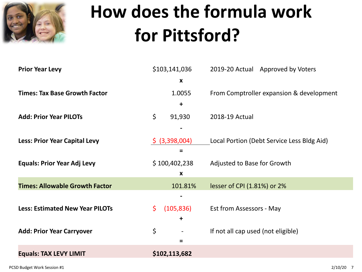

## **How does the formula work for Pittsford?**

| From Comptroller expansion & development   |  |  |
|--------------------------------------------|--|--|
|                                            |  |  |
|                                            |  |  |
|                                            |  |  |
| 2018-19 Actual                             |  |  |
|                                            |  |  |
| Local Portion (Debt Service Less Bldg Aid) |  |  |
|                                            |  |  |
| Adjusted to Base for Growth                |  |  |
|                                            |  |  |
| lesser of CPI (1.81%) or 2%                |  |  |
|                                            |  |  |
| Est from Assessors - May                   |  |  |
|                                            |  |  |
| If not all cap used (not eligible)         |  |  |
|                                            |  |  |
|                                            |  |  |
|                                            |  |  |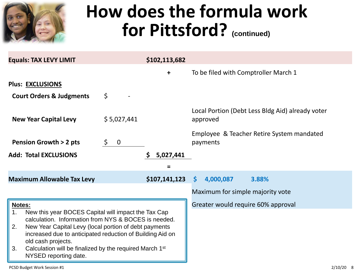

#### **How does the formula work for Pittsford? (continued)**

| <b>Equals: TAX LEVY LIMIT</b>                                                                                                                                                                                                                                                                                                                                                       | \$102,113,682     |                                                              |
|-------------------------------------------------------------------------------------------------------------------------------------------------------------------------------------------------------------------------------------------------------------------------------------------------------------------------------------------------------------------------------------|-------------------|--------------------------------------------------------------|
|                                                                                                                                                                                                                                                                                                                                                                                     | $\ddot{}$         | To be filed with Comptroller March 1                         |
| <b>Plus: EXCLUSIONS</b>                                                                                                                                                                                                                                                                                                                                                             |                   |                                                              |
| <b>Court Orders &amp; Judgments</b>                                                                                                                                                                                                                                                                                                                                                 | \$                |                                                              |
| <b>New Year Capital Levy</b>                                                                                                                                                                                                                                                                                                                                                        | \$5,027,441       | Local Portion (Debt Less Bldg Aid) already voter<br>approved |
| <b>Pension Growth &gt; 2 pts</b>                                                                                                                                                                                                                                                                                                                                                    | \$<br>$\mathbf 0$ | Employee & Teacher Retire System mandated<br>payments        |
| <b>Add: Total EXCLUSIONS</b>                                                                                                                                                                                                                                                                                                                                                        | 5,027,441         |                                                              |
|                                                                                                                                                                                                                                                                                                                                                                                     |                   |                                                              |
| <b>Maximum Allowable Tax Levy</b>                                                                                                                                                                                                                                                                                                                                                   | \$107,141,123     | 4,000,087<br>S.<br>3.88%                                     |
|                                                                                                                                                                                                                                                                                                                                                                                     |                   | Maximum for simple majority vote                             |
| Notes:<br>New this year BOCES Capital will impact the Tax Cap<br>1.<br>calculation. Information from NYS & BOCES is needed.<br>2.<br>New Year Capital Levy (local portion of debt payments<br>increased due to anticipated reduction of Building Aid on<br>old cash projects.<br>3.<br>Calculation will be finalized by the required March 1 <sup>st</sup><br>NYSED reporting date. |                   | Greater would require 60% approval                           |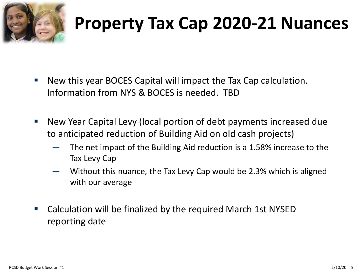

### **Property Tax Cap 2020-21 Nuances**

- New this year BOCES Capital will impact the Tax Cap calculation. Information from NYS & BOCES is needed. TBD
- New Year Capital Levy (local portion of debt payments increased due to anticipated reduction of Building Aid on old cash projects)
	- The net impact of the Building Aid reduction is a 1.58% increase to the Tax Levy Cap
	- Without this nuance, the Tax Levy Cap would be 2.3% which is aligned with our average
- Calculation will be finalized by the required March 1st NYSED reporting date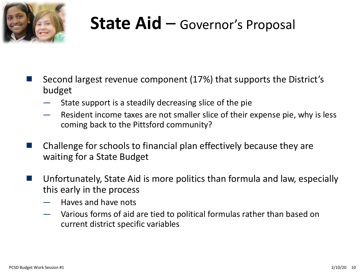

#### **State Aid – Governor's Proposal**

- Second largest revenue component (17%) that supports the District's budget
	- State support is a steadily decreasing slice of the pie
	- Resident income taxes are not smaller slice of their expense pie, why is less coming back to the Pittsford community?
- Challenge for schools to financial plan effectively because they are waiting for a State Budget
- Unfortunately, State Aid is more politics than formula and law, especially this early in the process
	- Haves and have nots
	- Various forms of aid are tied to political formulas rather than based on current district specific variables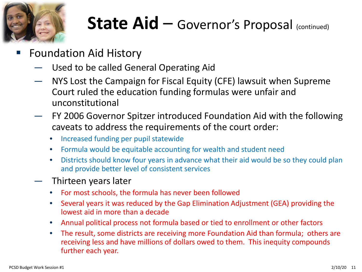

#### **State Aid – Governor's Proposal (continued)**

- Foundation Aid History
	- Used to be called General Operating Aid
	- NYS Lost the Campaign for Fiscal Equity (CFE) lawsuit when Supreme Court ruled the education funding formulas were unfair and unconstitutional
	- FY 2006 Governor Spitzer introduced Foundation Aid with the following caveats to address the requirements of the court order:
		- Increased funding per pupil statewide
		- Formula would be equitable accounting for wealth and student need
		- Districts should know four years in advance what their aid would be so they could plan and provide better level of consistent services
	- Thirteen years later
		- For most schools, the formula has never been followed
		- Several years it was reduced by the Gap Elimination Adjustment (GEA) providing the lowest aid in more than a decade
		- Annual political process not formula based or tied to enrollment or other factors
		- The result, some districts are receiving more Foundation Aid than formula; others are receiving less and have millions of dollars owed to them. This inequity compounds further each year.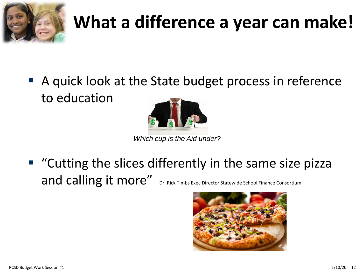

## **What a difference a year can make!**

 A quick look at the State budget process in reference to education



*Which cup is the Aid under?*

■ "Cutting the slices differently in the same size pizza and calling it more" Dr. Rick Timbs Exec Director Statewide School Finance Consortium

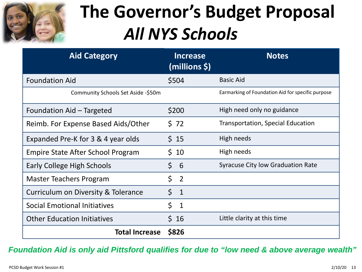

#### **The Governor's Budget Proposal**  *All NYS Schools*

| <b>Aid Category</b>                 | <b>Increase</b><br>(millions \$) | <b>Notes</b>                                      |
|-------------------------------------|----------------------------------|---------------------------------------------------|
| <b>Foundation Aid</b>               | \$504                            | <b>Basic Aid</b>                                  |
| Community Schools Set Aside -\$50m  |                                  | Earmarking of Foundation Aid for specific purpose |
| Foundation Aid - Targeted           | \$200                            | High need only no guidance                        |
| Reimb. For Expense Based Aids/Other | 572                              | <b>Transportation, Special Education</b>          |
| Expanded Pre-K for 3 & 4 year olds  | 5.15                             | High needs                                        |
| Empire State After School Program   | \$.<br>10                        | High needs                                        |
| Early College High Schools          | $\zeta$<br>6                     | <b>Syracuse City low Graduation Rate</b>          |
| Master Teachers Program             | \$<br>$\overline{2}$             |                                                   |
| Curriculum on Diversity & Tolerance | \$<br>$\mathbf{1}$               |                                                   |
| <b>Social Emotional Initiatives</b> | \$<br>$\mathbf 1$                |                                                   |
| <b>Other Education Initiatives</b>  | Ś.<br>16                         | Little clarity at this time                       |
| <b>Total Increase</b>               | \$826                            |                                                   |

*Foundation Aid is only aid Pittsford qualifies for due to "low need & above average wealth"*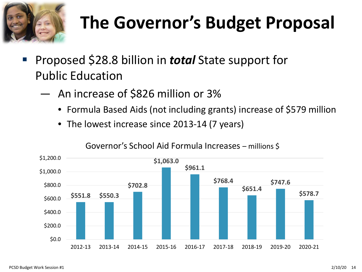

## **The Governor's Budget Proposal**

- Proposed \$28.8 billion in *total* State support for Public Education
	- An increase of \$826 million or 3%
		- Formula Based Aids (not including grants) increase of \$579 million
		- The lowest increase since 2013-14 (7 years)



#### Governor's School Aid Formula Increases – millions \$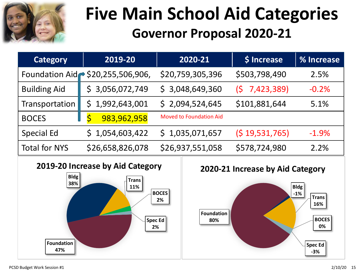

#### **Five Main School Aid Categories Governor Proposal 2020-21**

| <b>Category</b>                                | 2019-20                                                                  |                    | 2020-21                        | \$ Increase                      | % Increase                                                                                   |
|------------------------------------------------|--------------------------------------------------------------------------|--------------------|--------------------------------|----------------------------------|----------------------------------------------------------------------------------------------|
| Foundation Aid                                 | \$20,255,506,906,                                                        |                    | \$20,759,305,396               | \$503,798,490                    | 2.5%                                                                                         |
| <b>Building Aid</b>                            | 3,056,072,749<br>\$                                                      |                    | \$3,048,649,360                | 7,423,389)<br>(S                 | $-0.2%$                                                                                      |
| Transportation                                 | \$<br>1,992,643,001                                                      |                    | \$2,094,524,645                | \$101,881,644                    | 5.1%                                                                                         |
| <b>BOCES</b>                                   | $\overline{\mathsf{S}}$<br>983,962,958                                   |                    | <b>Moved to Foundation Aid</b> |                                  |                                                                                              |
| <b>Special Ed</b>                              | \$1,054,603,422                                                          |                    | \$1,035,071,657                | (519,531,765)                    | $-1.9%$                                                                                      |
| <b>Total for NYS</b>                           | \$26,658,826,078                                                         |                    | \$26,937,551,058               | \$578,724,980                    | 2.2%                                                                                         |
| <b>Bldg</b><br>38%<br><b>Foundation</b><br>47% | 2019-20 Increase by Aid Category<br><b>Trans</b><br>11%<br>Spec Ed<br>2% | <b>BOCES</b><br>2% | Foundation<br>80%              | 2020-21 Increase by Aid Category | <b>Bldg</b><br>$-1%$<br><b>Trans</b><br>16%<br><b>BOCES</b><br>0%<br><b>Spec Ed</b><br>$-3%$ |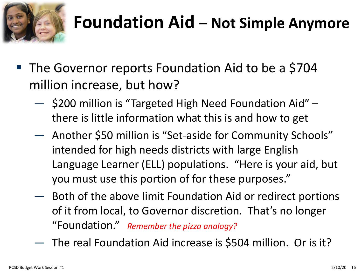

#### **Foundation Aid – Not Simple Anymore**

- **The Governor reports Foundation Aid to be a \$704** million increase, but how?
	- \$200 million is "Targeted High Need Foundation Aid" there is little information what this is and how to get
	- Another \$50 million is "Set-aside for Community Schools" intended for high needs districts with large English Language Learner (ELL) populations. "Here is your aid, but you must use this portion of for these purposes."
	- Both of the above limit Foundation Aid or redirect portions of it from local, to Governor discretion. That's no longer "Foundation." *Remember the pizza analogy?*
	- The real Foundation Aid increase is \$504 million. Or is it?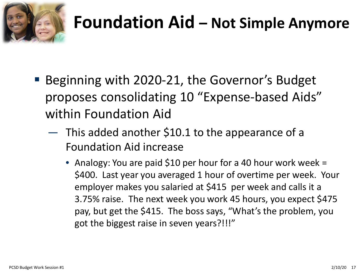

#### **Foundation Aid – Not Simple Anymore**

- Beginning with 2020-21, the Governor's Budget proposes consolidating 10 "Expense-based Aids" within Foundation Aid
	- This added another \$10.1 to the appearance of a Foundation Aid increase
		- Analogy: You are paid \$10 per hour for a 40 hour work week = \$400. Last year you averaged 1 hour of overtime per week. Your employer makes you salaried at \$415 per week and calls it a 3.75% raise. The next week you work 45 hours, you expect \$475 pay, but get the \$415. The boss says, "What's the problem, you got the biggest raise in seven years?!!!"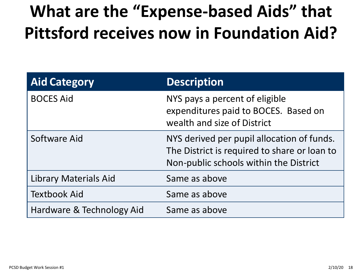#### **What are the "Expense-based Aids" that Pittsford receives now in Foundation Aid?**

| <b>Aid Category</b>          | <b>Description</b>                                                                                                                   |
|------------------------------|--------------------------------------------------------------------------------------------------------------------------------------|
| <b>BOCES Aid</b>             | NYS pays a percent of eligible<br>expenditures paid to BOCES. Based on<br>wealth and size of District                                |
| Software Aid                 | NYS derived per pupil allocation of funds.<br>The District is required to share or loan to<br>Non-public schools within the District |
| <b>Library Materials Aid</b> | Same as above                                                                                                                        |
| <b>Textbook Aid</b>          | Same as above                                                                                                                        |
| Hardware & Technology Aid    | Same as above                                                                                                                        |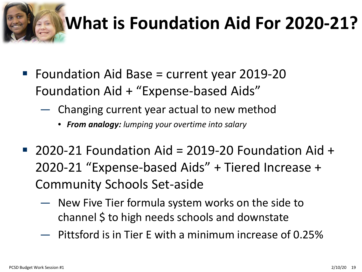

## **What is Foundation Aid For 2020-21?**

- Foundation Aid Base = current year 2019-20 Foundation Aid + "Expense-based Aids"
	- Changing current year actual to new method
		- *From analogy: lumping your overtime into salary*
- $\blacksquare$  2020-21 Foundation Aid = 2019-20 Foundation Aid + 2020-21 "Expense-based Aids" + Tiered Increase + Community Schools Set-aside
	- New Five Tier formula system works on the side to channel \$ to high needs schools and downstate
	- Pittsford is in Tier E with a minimum increase of 0.25%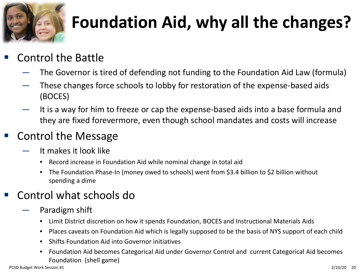

### **Foundation Aid, why all the changes?**

- Control the Battle
	- The Governor is tired of defending not funding to the Foundation Aid Law (formula)
	- These changes force schools to lobby for restoration of the expense-based aids (BOCES)
	- It is a way for him to freeze or cap the expense-based aids into a base formula and they are fixed forevermore, even though school mandates and costs will increase

#### Control the Message

- It makes it look like
	- Record increase in Foundation Aid while nominal change in total aid
	- The Foundation Phase-In (money owed to schools) went from \$3.4 billion to \$2 billion without spending a dime

#### Control what schools do

- Paradigm shift
	- Limit District discretion on how it spends Foundation, BOCES and Instructional Materials Aids
	- Places caveats on Foundation Aid which is legally supposed to be the basis of NYS support of each child
	- Shifts Foundation Aid into Governor initiatives
	- Foundation Aid becomes Categorical Aid under Governor Control and current Categorical Aid becomes Foundation (shell game)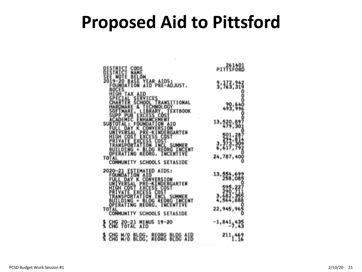#### **Proposed Aid to Pittsford**

 $\mathcal{L}$ 

|                                                                                          | PITTSFORD      |
|------------------------------------------------------------------------------------------|----------------|
| <b>BELON<br/>BASE YEAR AIDS:<br/>TION AID PRE-ADJUST.</b>                                | 3,72,319       |
| <b>AID<br/>SERVICE</b><br>SCHOOL<br><b>TONAL</b><br><b>EXTBOOK</b>                       | 30.83          |
| SUI                                                                                      | 13,520,897     |
| RGARTEN<br>ORG                                                                           | 24,787,400     |
| OP<br>TOTAL<br>COMMUN<br>21<br><b>SCHOOLS</b><br><b>SETASIDE</b><br>ED AIDS:<br>$2020 -$ |                |
|                                                                                          | 13, 554, 63    |
|                                                                                          |                |
| тот<br><b>SCHOOLS SETASIDE</b>                                                           | 22,945,965     |
| <b>2 8H8 20-21 MINUS 19-20</b>                                                           | $-1, 841, 432$ |
| ≹ &#& #% BLB&; RE&R& BLB& A}B                                                            | 211,407        |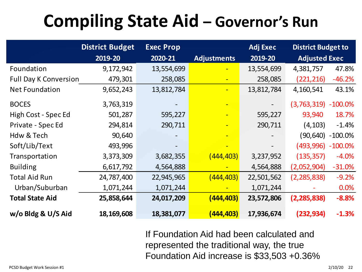#### **Compiling State Aid – Governor's Run**

|                              | <b>District Budget</b> | <b>Exec Prop</b> |                    | <b>Adj Exec</b> | <b>District Budget to</b> |            |
|------------------------------|------------------------|------------------|--------------------|-----------------|---------------------------|------------|
|                              | 2019-20                | 2020-21          | <b>Adjustments</b> | 2019-20         | <b>Adjusted Exec</b>      |            |
| Foundation                   | 9,172,942              | 13,554,699       |                    | 13,554,699      | 4,381,757                 | 47.8%      |
| <b>Full Day K Conversion</b> | 479,301                | 258,085          | $\blacksquare$     | 258,085         | (221, 216)                | $-46.2%$   |
| <b>Net Foundation</b>        | 9,652,243              | 13,812,784       |                    | 13,812,784      | 4,160,541                 | 43.1%      |
| <b>BOCES</b>                 | 3,763,319              |                  |                    |                 | (3,763,319)               | $-100.0\%$ |
| High Cost - Spec Ed          | 501,287                | 595,227          | $\blacksquare$     | 595,227         | 93,940                    | 18.7%      |
| Private - Spec Ed            | 294,814                | 290,711          | $\blacksquare$     | 290,711         | (4, 103)                  | $-1.4%$    |
| Hdw & Tech                   | 90,640                 |                  |                    |                 | (90, 640)                 | $-100.0\%$ |
| Soft/Lib/Text                | 493,996                |                  |                    |                 | (493,996)                 | $-100.0\%$ |
| Transportation               | 3,373,309              | 3,682,355        | (444, 403)         | 3,237,952       | (135, 357)                | $-4.0%$    |
| <b>Building</b>              | 6,617,792              | 4,564,888        | $\blacksquare$     | 4,564,888       | (2,052,904)               | $-31.0%$   |
| <b>Total Aid Run</b>         | 24,787,400             | 22,945,965       | (444, 403)         | 22,501,562      | (2, 285, 838)             | $-9.2%$    |
| Urban/Suburban               | 1,071,244              | 1,071,244        |                    | 1,071,244       |                           | 0.0%       |
| <b>Total State Aid</b>       | 25,858,644             | 24,017,209       | (444,403)          | 23,572,806      | (2, 285, 838)             | $-8.8%$    |
| w/o Bldg & U/S Aid           | 18,169,608             | 18,381,077       | (444,403)          | 17,936,674      | (232, 934)                | $-1.3%$    |

If Foundation Aid had been calculated and represented the traditional way, the true Foundation Aid increase is \$33,503 +0.36%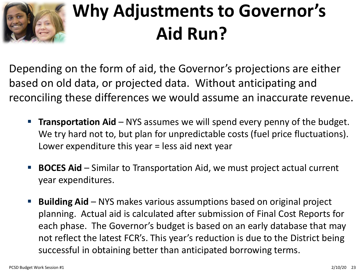

### **Why Adjustments to Governor's Aid Run?**

Depending on the form of aid, the Governor's projections are either based on old data, or projected data. Without anticipating and reconciling these differences we would assume an inaccurate revenue.

- **Transportation Aid NYS** assumes we will spend every penny of the budget. We try hard not to, but plan for unpredictable costs (fuel price fluctuations). Lower expenditure this year = less aid next year
- **BOCES Aid**  Similar to Transportation Aid, we must project actual current year expenditures.
- **Building Aid**  NYS makes various assumptions based on original project planning. Actual aid is calculated after submission of Final Cost Reports for each phase. The Governor's budget is based on an early database that may not reflect the latest FCR's. This year's reduction is due to the District being successful in obtaining better than anticipated borrowing terms.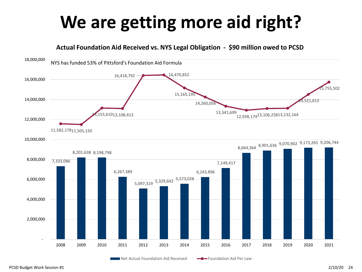#### **We are getting more aid right?**

**Actual Foundation Aid Received vs. NYS Legal Obligation - \$90 million owed to PCSD**



Net Actual Foundation Aid Received **Foundation Aid Per Law**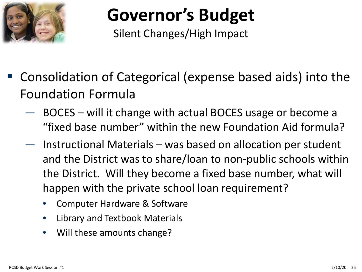

Silent Changes/High Impact

- Consolidation of Categorical (expense based aids) into the Foundation Formula
	- BOCES will it change with actual BOCES usage or become a "fixed base number" within the new Foundation Aid formula?
	- Instructional Materials was based on allocation per student and the District was to share/loan to non-public schools within the District. Will they become a fixed base number, what will happen with the private school loan requirement?
		- Computer Hardware & Software
		- Library and Textbook Materials
		- Will these amounts change?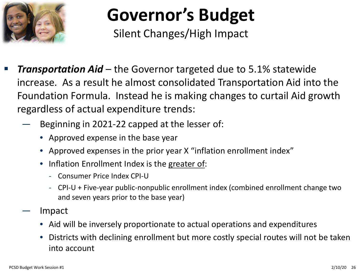

Silent Changes/High Impact

- *Transportation Aid*  the Governor targeted due to 5.1% statewide increase. As a result he almost consolidated Transportation Aid into the Foundation Formula. Instead he is making changes to curtail Aid growth regardless of actual expenditure trends:
	- Beginning in 2021-22 capped at the lesser of:
		- Approved expense in the base year
		- Approved expenses in the prior year X "inflation enrollment index"
		- Inflation Enrollment Index is the greater of:
			- Consumer Price Index CPI-U
			- CPI-U + Five-year public-nonpublic enrollment index (combined enrollment change two and seven years prior to the base year)
	- Impact
		- Aid will be inversely proportionate to actual operations and expenditures
		- Districts with declining enrollment but more costly special routes will not be taken into account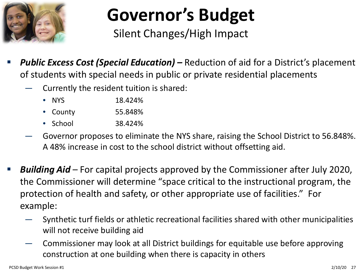

Silent Changes/High Impact

- *Public Excess Cost (Special Education) –* Reduction of aid for a District's placement of students with special needs in public or private residential placements
	- Currently the resident tuition is shared:
		- NYS 18.424%
		- County 55.848%
		- School 38.424%
	- Governor proposes to eliminate the NYS share, raising the School District to 56.848%. A 48% increase in cost to the school district without offsetting aid.
- *Building Aid* For capital projects approved by the Commissioner after July 2020, the Commissioner will determine "space critical to the instructional program, the protection of health and safety, or other appropriate use of facilities." For example:
	- Synthetic turf fields or athletic recreational facilities shared with other municipalities will not receive building aid
	- Commissioner may look at all District buildings for equitable use before approving construction at one building when there is capacity in others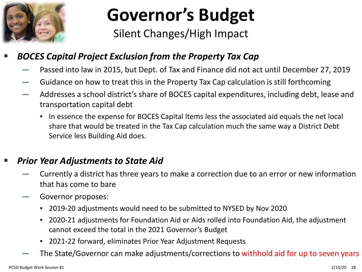

Silent Changes/High Impact

#### *BOCES Capital Project Exclusion from the Property Tax Cap*

- Passed into law in 2015, but Dept. of Tax and Finance did not act until December 27, 2019
- Guidance on how to treat this in the Property Tax Cap calculation is still forthcoming
- Addresses a school district's share of BOCES capital expenditures, including debt, lease and transportation capital debt
	- In essence the expense for BOCES Capital Items less the associated aid equals the net local share that would be treated in the Tax Cap calculation much the same way a District Debt Service less Building Aid does.

#### *Prior Year Adjustments to State Aid*

- Currently a district has three years to make a correction due to an error or new information that has come to bare
- Governor proposes:
	- 2019-20 adjustments would need to be submitted to NYSED by Nov 2020
	- 2020-21 adjustments for Foundation Aid or Aids rolled into Foundation Aid, the adjustment cannot exceed the total in the 2021 Governor's Budget
	- 2021-22 forward, eliminates Prior Year Adjustment Requests
	- The State/Governor can make adjustments/corrections to withhold aid for up to seven years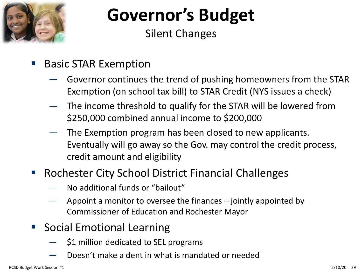

Silent Changes

- Basic STAR Exemption
	- Governor continues the trend of pushing homeowners from the STAR Exemption (on school tax bill) to STAR Credit (NYS issues a check)
	- The income threshold to qualify for the STAR will be lowered from \$250,000 combined annual income to \$200,000
	- The Exemption program has been closed to new applicants. Eventually will go away so the Gov. may control the credit process, credit amount and eligibility
- **Rochester City School District Financial Challenges** 
	- No additional funds or "bailout"
	- Appoint a monitor to oversee the finances  $-$  jointly appointed by Commissioner of Education and Rochester Mayor
- **Social Emotional Learning** 
	- \$1 million dedicated to SEL programs
	- Doesn't make a dent in what is mandated or needed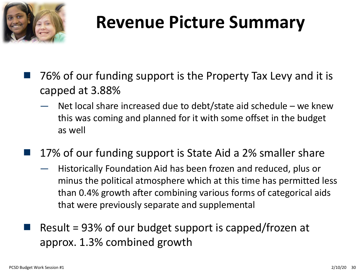

#### **Revenue Picture Summary**

- 76% of our funding support is the Property Tax Levy and it is capped at 3.88%
	- Net local share increased due to debt/state aid schedule  $-$  we knew this was coming and planned for it with some offset in the budget as well
	- 17% of our funding support is State Aid a 2% smaller share
		- Historically Foundation Aid has been frozen and reduced, plus or minus the political atmosphere which at this time has permitted less than 0.4% growth after combining various forms of categorical aids that were previously separate and supplemental
- Result = 93% of our budget support is capped/frozen at approx. 1.3% combined growth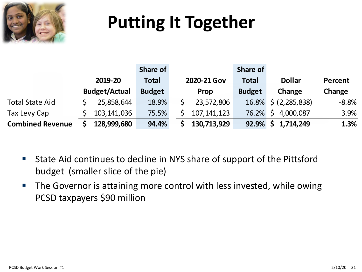

### **Putting It Together**

|                         |                      | <b>Share of</b> |  |               | Share of      |                      |         |
|-------------------------|----------------------|-----------------|--|---------------|---------------|----------------------|---------|
|                         | 2019-20              | <b>Total</b>    |  | 2020-21 Gov   | <b>Total</b>  | <b>Dollar</b>        | Percent |
|                         | <b>Budget/Actual</b> | <b>Budget</b>   |  | Prop          | <b>Budget</b> | Change               | Change  |
| <b>Total State Aid</b>  | 25,858,644           | 18.9%           |  | 23,572,806    |               | 16.8% \$ (2,285,838) | $-8.8%$ |
| Tax Levy Cap            | 103, 141, 036        | 75.5%           |  | 107, 141, 123 | $76.2\%$ \$   | 4,000,087            | 3.9%    |
| <b>Combined Revenue</b> | 128,999,680          | 94.4%           |  | 130,713,929   | 92.9%         | 1,714,249            | 1.3%    |

- State Aid continues to decline in NYS share of support of the Pittsford budget (smaller slice of the pie)
- **The Governor is attaining more control with less invested, while owing** PCSD taxpayers \$90 million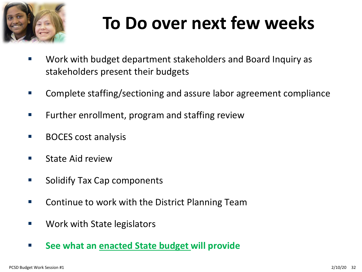

#### **To Do over next few weeks**

- Work with budget department stakeholders and Board Inquiry as stakeholders present their budgets
- Complete staffing/sectioning and assure labor agreement compliance
- **Further enrollment, program and staffing review**
- BOCES cost analysis
- **State Aid review**
- **E** Solidify Tax Cap components
- **EXECONTERGIVIOUS CONTINUE TO WORK WITH THE DISTRICT PLANNIST CONTINUES THE CONTINUES THE CONTINUES THE CONTINUES THE CONTINUES THE CONTINUES THE CONTINUES THE CONTINUES THE CONTINUES THE CONTINUES THE CONTINUES THE CONTIN**
- Work with State legislators
- **EXECT** See what an enacted State budget will provide